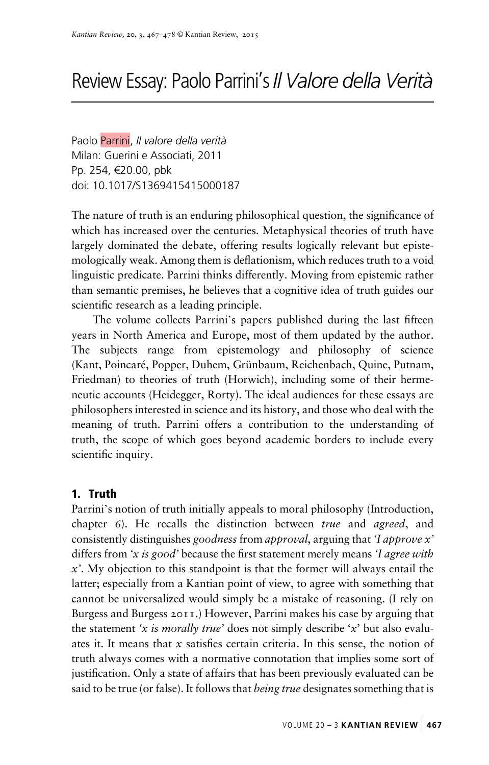# Review Essay: Paolo Parrini's Il Valore della Verità

Paolo Parrini, Il valore della verità Milan: Guerini e Associati, 2011 Pp. 254, €20.00, pbk doi: 10.1017/S1369415415000187

The nature of truth is an enduring philosophical question, the significance of which has increased over the centuries. Metaphysical theories of truth have largely dominated the debate, offering results logically relevant but epistemologically weak. Among them is deflationism, which reduces truth to a void linguistic predicate. Parrini thinks differently. Moving from epistemic rather than semantic premises, he believes that a cognitive idea of truth guides our scientific research as a leading principle.

The volume collects Parrini's papers published during the last fifteen years in North America and Europe, most of them updated by the author. The subjects range from epistemology and philosophy of science (Kant, Poincaré, Popper, Duhem, Grünbaum, Reichenbach, Quine, Putnam, Friedman) to theories of truth (Horwich), including some of their hermeneutic accounts (Heidegger, Rorty). The ideal audiences for these essays are philosophers interested in science and its history, and those who deal with the meaning of truth. Parrini offers a contribution to the understanding of truth, the scope of which goes beyond academic borders to include every scientific inquiry.

## 1. Truth

Parrini's notion of truth initially appeals to moral philosophy (Introduction, chapter 6). He recalls the distinction between true and agreed, and consistently distinguishes goodness from approval, arguing that 'I approve x' differs from 'x is good' because the first statement merely means 'I agree with  $x'$ . My objection to this standpoint is that the former will always entail the latter; especially from a Kantian point of view, to agree with something that cannot be universalized would simply be a mistake of reasoning. (I rely on Burgess and Burgess 2011.) However, Parrini makes his case by arguing that the statement 'x is morally true' does not simply describe 'x' but also evaluates it. It means that  $x$  satisfies certain criteria. In this sense, the notion of truth always comes with a normative connotation that implies some sort of justification. Only a state of affairs that has been previously evaluated can be said to be true (or false). It follows that *being true* designates something that is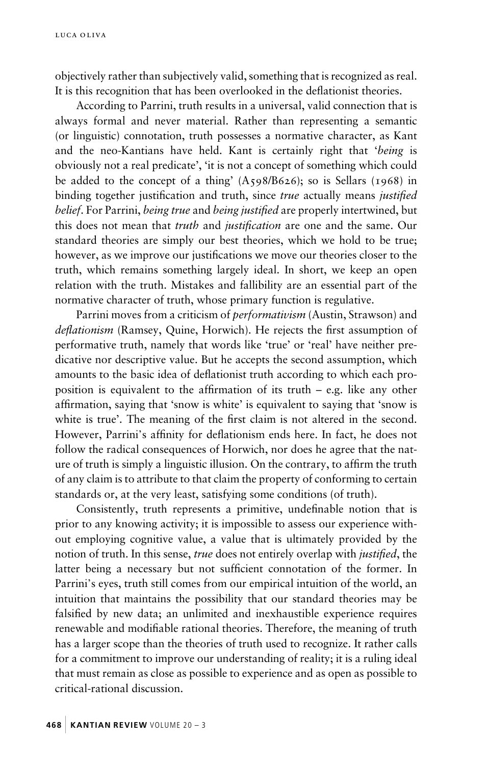objectively rather than subjectively valid, something that is recognized as real. It is this recognition that has been overlooked in the deflationist theories.

According to Parrini, truth results in a universal, valid connection that is always formal and never material. Rather than representing a semantic (or linguistic) connotation, truth possesses a normative character, as Kant and the neo-Kantians have held. Kant is certainly right that 'being is obviously not a real predicate', 'it is not a concept of something which could be added to the concept of a thing'  $(A598/B626)$ ; so is Sellars (1968) in binding together justification and truth, since *true* actually means *justified* belief. For Parrini, being true and being justified are properly intertwined, but this does not mean that *truth* and *justification* are one and the same. Our standard theories are simply our best theories, which we hold to be true; however, as we improve our justifications we move our theories closer to the truth, which remains something largely ideal. In short, we keep an open relation with the truth. Mistakes and fallibility are an essential part of the normative character of truth, whose primary function is regulative.

Parrini moves from a criticism of performativism (Austin, Strawson) and deflationism (Ramsey, Quine, Horwich). He rejects the first assumption of performative truth, namely that words like 'true' or 'real' have neither predicative nor descriptive value. But he accepts the second assumption, which amounts to the basic idea of deflationist truth according to which each proposition is equivalent to the affirmation of its truth – e.g. like any other affirmation, saying that 'snow is white' is equivalent to saying that 'snow is white is true'. The meaning of the first claim is not altered in the second. However, Parrini's affinity for deflationism ends here. In fact, he does not follow the radical consequences of Horwich, nor does he agree that the nature of truth is simply a linguistic illusion. On the contrary, to affirm the truth of any claim is to attribute to that claim the property of conforming to certain standards or, at the very least, satisfying some conditions (of truth).

Consistently, truth represents a primitive, undefinable notion that is prior to any knowing activity; it is impossible to assess our experience without employing cognitive value, a value that is ultimately provided by the notion of truth. In this sense, *true* does not entirely overlap with *justified*, the latter being a necessary but not sufficient connotation of the former. In Parrini's eyes, truth still comes from our empirical intuition of the world, an intuition that maintains the possibility that our standard theories may be falsified by new data; an unlimited and inexhaustible experience requires renewable and modifiable rational theories. Therefore, the meaning of truth has a larger scope than the theories of truth used to recognize. It rather calls for a commitment to improve our understanding of reality; it is a ruling ideal that must remain as close as possible to experience and as open as possible to critical-rational discussion.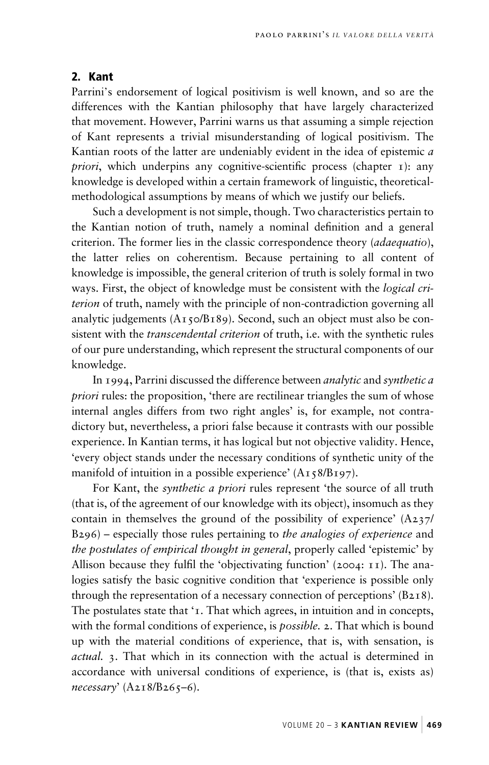## 2. Kant

Parrini's endorsement of logical positivism is well known, and so are the differences with the Kantian philosophy that have largely characterized that movement. However, Parrini warns us that assuming a simple rejection of Kant represents a trivial misunderstanding of logical positivism. The Kantian roots of the latter are undeniably evident in the idea of epistemic a *priori*, which underpins any cognitive-scientific process (chapter  $\mathbf{I}$ ): any knowledge is developed within a certain framework of linguistic, theoreticalmethodological assumptions by means of which we justify our beliefs.

Such a development is not simple, though. Two characteristics pertain to the Kantian notion of truth, namely a nominal definition and a general criterion. The former lies in the classic correspondence theory (adaequatio), the latter relies on coherentism. Because pertaining to all content of knowledge is impossible, the general criterion of truth is solely formal in two ways. First, the object of knowledge must be consistent with the *logical cri*terion of truth, namely with the principle of non-contradiction governing all analytic judgements (A150/B189). Second, such an object must also be consistent with the *transcendental criterion* of truth, i.e. with the synthetic rules of our pure understanding, which represent the structural components of our knowledge.

In 1994, Parrini discussed the difference between analytic and synthetic a priori rules: the proposition, 'there are rectilinear triangles the sum of whose internal angles differs from two right angles' is, for example, not contradictory but, nevertheless, a priori false because it contrasts with our possible experience. In Kantian terms, it has logical but not objective validity. Hence, 'every object stands under the necessary conditions of synthetic unity of the manifold of intuition in a possible experience'  $(A<sub>I</sub>58/B<sub>I</sub>97)$ .

For Kant, the *synthetic a priori* rules represent 'the source of all truth (that is, of the agreement of our knowledge with its object), insomuch as they contain in themselves the ground of the possibility of experience'  $(A237/$ B<sub>296</sub>) – especially those rules pertaining to the *analogies of experience* and the postulates of empirical thought in general, properly called 'epistemic' by Allison because they fulfil the 'objectivating function' (2004: 11). The analogies satisfy the basic cognitive condition that 'experience is possible only through the representation of a necessary connection of perceptions' (B218). The postulates state that '1. That which agrees, in intuition and in concepts, with the formal conditions of experience, is *possible*. 2. That which is bound up with the material conditions of experience, that is, with sensation, is actual. 3. That which in its connection with the actual is determined in accordance with universal conditions of experience, is (that is, exists as) necessary' (A218/B265–6).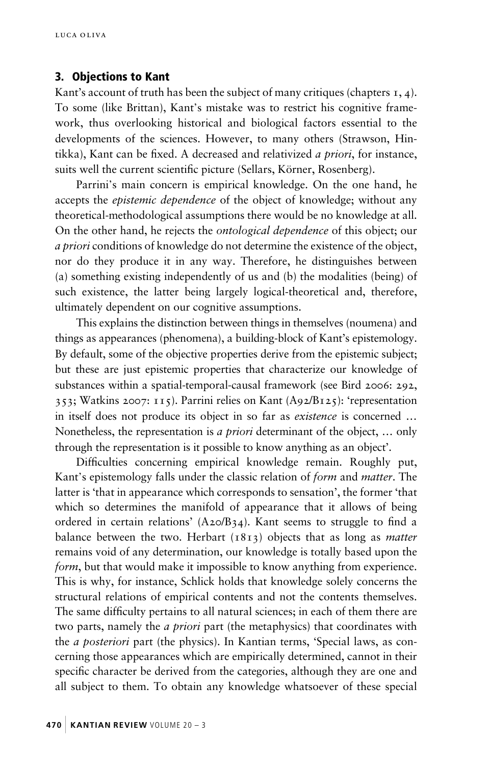## 3. Objections to Kant

Kant's account of truth has been the subject of many critiques (chapters  $I, 4$ ). To some (like Brittan), Kant's mistake was to restrict his cognitive framework, thus overlooking historical and biological factors essential to the developments of the sciences. However, to many others (Strawson, Hintikka), Kant can be fixed. A decreased and relativized a priori, for instance, suits well the current scientific picture (Sellars, Körner, Rosenberg).

Parrini's main concern is empirical knowledge. On the one hand, he accepts the *epistemic dependence* of the object of knowledge; without any theoretical-methodological assumptions there would be no knowledge at all. On the other hand, he rejects the ontological dependence of this object; our a priori conditions of knowledge do not determine the existence of the object, nor do they produce it in any way. Therefore, he distinguishes between (a) something existing independently of us and (b) the modalities (being) of such existence, the latter being largely logical-theoretical and, therefore, ultimately dependent on our cognitive assumptions.

This explains the distinction between things in themselves (noumena) and things as appearances (phenomena), a building-block of Kant's epistemology. By default, some of the objective properties derive from the epistemic subject; but these are just epistemic properties that characterize our knowledge of substances within a spatial-temporal-causal framework (see Bird 2006: 292, 353; Watkins 2007: 115). Parrini relies on Kant (A92/B125): 'representation in itself does not produce its object in so far as existence is concerned … Nonetheless, the representation is *a priori* determinant of the object, ... only through the representation is it possible to know anything as an object'.

Difficulties concerning empirical knowledge remain. Roughly put, Kant's epistemology falls under the classic relation of form and matter. The latter is 'that in appearance which corresponds to sensation', the former 'that which so determines the manifold of appearance that it allows of being ordered in certain relations' (A20/B34). Kant seems to struggle to find a balance between the two. Herbart  $(1813)$  objects that as long as *matter* remains void of any determination, our knowledge is totally based upon the form, but that would make it impossible to know anything from experience. This is why, for instance, Schlick holds that knowledge solely concerns the structural relations of empirical contents and not the contents themselves. The same difficulty pertains to all natural sciences; in each of them there are two parts, namely the *a priori* part (the metaphysics) that coordinates with the *a posteriori* part (the physics). In Kantian terms, 'Special laws, as concerning those appearances which are empirically determined, cannot in their specific character be derived from the categories, although they are one and all subject to them. To obtain any knowledge whatsoever of these special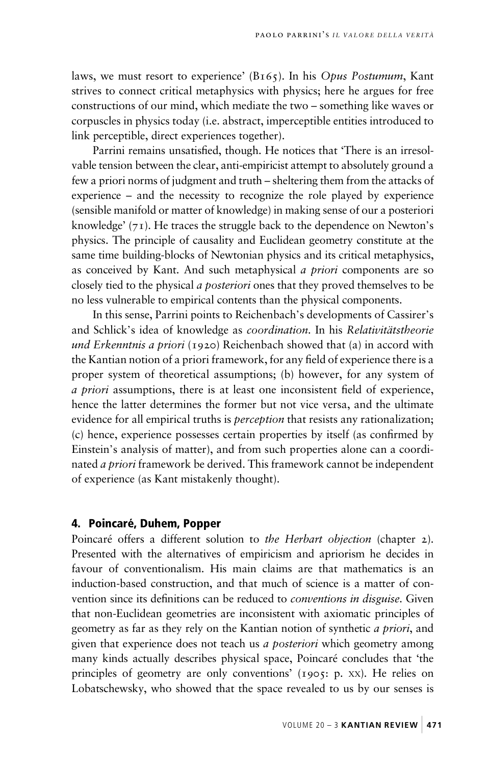laws, we must resort to experience'  $(B165)$ . In his Opus Postumum, Kant strives to connect critical metaphysics with physics; here he argues for free constructions of our mind, which mediate the two – something like waves or corpuscles in physics today (i.e. abstract, imperceptible entities introduced to link perceptible, direct experiences together).

Parrini remains unsatisfied, though. He notices that 'There is an irresolvable tension between the clear, anti-empiricist attempt to absolutely ground a few a priori norms of judgment and truth – sheltering them from the attacks of experience – and the necessity to recognize the role played by experience (sensible manifold or matter of knowledge) in making sense of our a posteriori knowledge' (71). He traces the struggle back to the dependence on Newton's physics. The principle of causality and Euclidean geometry constitute at the same time building-blocks of Newtonian physics and its critical metaphysics, as conceived by Kant. And such metaphysical *a priori* components are so closely tied to the physical a posteriori ones that they proved themselves to be no less vulnerable to empirical contents than the physical components.

In this sense, Parrini points to Reichenbach's developments of Cassirer's and Schlick's idea of knowledge as coordination. In his Relativitätstheorie und Erkenntnis a priori (1920) Reichenbach showed that (a) in accord with the Kantian notion of a priori framework, for any field of experience there is a proper system of theoretical assumptions; (b) however, for any system of a priori assumptions, there is at least one inconsistent field of experience, hence the latter determines the former but not vice versa, and the ultimate evidence for all empirical truths is *perception* that resists any rationalization; (c) hence, experience possesses certain properties by itself (as confirmed by Einstein's analysis of matter), and from such properties alone can a coordinated *a priori* framework be derived. This framework cannot be independent of experience (as Kant mistakenly thought).

## 4. Poincaré, Duhem, Popper

Poincaré offers a different solution to the Herbart objection (chapter 2). Presented with the alternatives of empiricism and apriorism he decides in favour of conventionalism. His main claims are that mathematics is an induction-based construction, and that much of science is a matter of convention since its definitions can be reduced to conventions in disguise. Given that non-Euclidean geometries are inconsistent with axiomatic principles of geometry as far as they rely on the Kantian notion of synthetic a priori, and given that experience does not teach us a posteriori which geometry among many kinds actually describes physical space, Poincaré concludes that 'the principles of geometry are only conventions' (1905: p. XX). He relies on Lobatschewsky, who showed that the space revealed to us by our senses is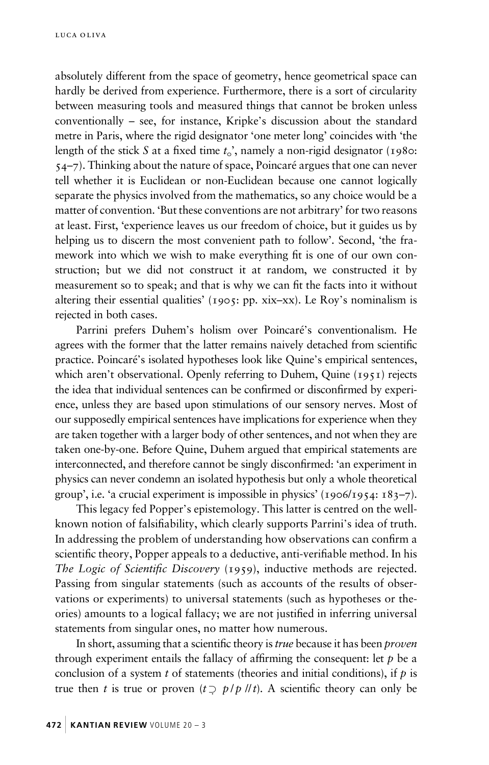absolutely different from the space of geometry, hence geometrical space can hardly be derived from experience. Furthermore, there is a sort of circularity between measuring tools and measured things that cannot be broken unless conventionally – see, for instance, Kripke's discussion about the standard metre in Paris, where the rigid designator 'one meter long' coincides with 'the length of the stick S at a fixed time  $t_0$ , namely a non-rigid designator (1980: 54–7). Thinking about the nature of space, Poincaré argues that one can never tell whether it is Euclidean or non-Euclidean because one cannot logically separate the physics involved from the mathematics, so any choice would be a matter of convention. 'But these conventions are not arbitrary' for two reasons at least. First, 'experience leaves us our freedom of choice, but it guides us by helping us to discern the most convenient path to follow'. Second, 'the framework into which we wish to make everything fit is one of our own construction; but we did not construct it at random, we constructed it by measurement so to speak; and that is why we can fit the facts into it without altering their essential qualities' (1905: pp. xix–xx). Le Roy's nominalism is rejected in both cases.

Parrini prefers Duhem's holism over Poincaré's conventionalism. He agrees with the former that the latter remains naively detached from scientific practice. Poincaré's isolated hypotheses look like Quine's empirical sentences, which aren't observational. Openly referring to Duhem, Quine (1951) rejects the idea that individual sentences can be confirmed or disconfirmed by experience, unless they are based upon stimulations of our sensory nerves. Most of our supposedly empirical sentences have implications for experience when they are taken together with a larger body of other sentences, and not when they are taken one-by-one. Before Quine, Duhem argued that empirical statements are interconnected, and therefore cannot be singly disconfirmed: 'an experiment in physics can never condemn an isolated hypothesis but only a whole theoretical group', i.e. 'a crucial experiment is impossible in physics' (1906/1954: 183–7).

This legacy fed Popper's epistemology. This latter is centred on the wellknown notion of falsifiability, which clearly supports Parrini's idea of truth. In addressing the problem of understanding how observations can confirm a scientific theory, Popper appeals to a deductive, anti-verifiable method. In his The Logic of Scientific Discovery (1959), inductive methods are rejected. Passing from singular statements (such as accounts of the results of observations or experiments) to universal statements (such as hypotheses or theories) amounts to a logical fallacy; we are not justified in inferring universal statements from singular ones, no matter how numerous.

In short, assuming that a scientific theory is *true* because it has been *proven* through experiment entails the fallacy of affirming the consequent: let  $p$  be a conclusion of a system  $t$  of statements (theories and initial conditions), if  $p$  is true then t is true or proven  $(t \supset p/p \mid l/t)$ . A scientific theory can only be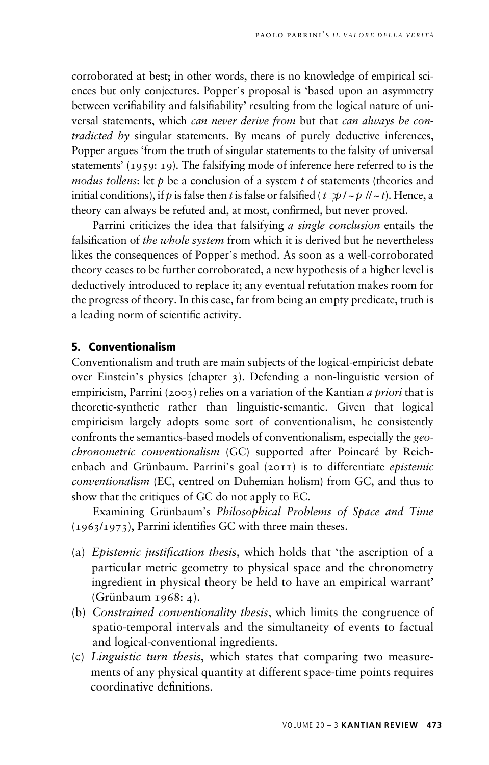corroborated at best; in other words, there is no knowledge of empirical sciences but only conjectures. Popper's proposal is 'based upon an asymmetry between verifiability and falsifiability' resulting from the logical nature of universal statements, which *can never derive from* but that *can always be con*tradicted by singular statements. By means of purely deductive inferences, Popper argues 'from the truth of singular statements to the falsity of universal statements' (1959: 19). The falsifying mode of inference here referred to is the modus tollens: let  $p$  be a conclusion of a system  $t$  of statements (theories and initial conditions), if p is false then t is false or falsified ( $t \supset p / \sim p / / \sim t$ ). Hence, a \_ theory can always be refuted and, at most, confirmed, but never proved.

Parrini criticizes the idea that falsifying *a single conclusion* entails the falsification of the whole system from which it is derived but he nevertheless likes the consequences of Popper's method. As soon as a well-corroborated theory ceases to be further corroborated, a new hypothesis of a higher level is deductively introduced to replace it; any eventual refutation makes room for the progress of theory. In this case, far from being an empty predicate, truth is a leading norm of scientific activity.

#### 5. Conventionalism

Conventionalism and truth are main subjects of the logical-empiricist debate over Einstein's physics (chapter 3). Defending a non-linguistic version of empiricism, Parrini (2003) relies on a variation of the Kantian *a priori* that is theoretic-synthetic rather than linguistic-semantic. Given that logical empiricism largely adopts some sort of conventionalism, he consistently confronts the semantics-based models of conventionalism, especially the geochronometric conventionalism (GC) supported after Poincaré by Reichenbach and Grünbaum. Parrini's goal (2011) is to differentiate *epistemic* conventionalism (EC, centred on Duhemian holism) from GC, and thus to show that the critiques of GC do not apply to EC.

Examining Grünbaum's Philosophical Problems of Space and Time (1963/1973), Parrini identifies GC with three main theses.

- (a) Epistemic justification thesis, which holds that 'the ascription of a particular metric geometry to physical space and the chronometry ingredient in physical theory be held to have an empirical warrant' (Grünbaum 1968: 4).
- (b) Constrained conventionality thesis, which limits the congruence of spatio-temporal intervals and the simultaneity of events to factual and logical-conventional ingredients.
- (c) Linguistic turn thesis, which states that comparing two measurements of any physical quantity at different space-time points requires coordinative definitions.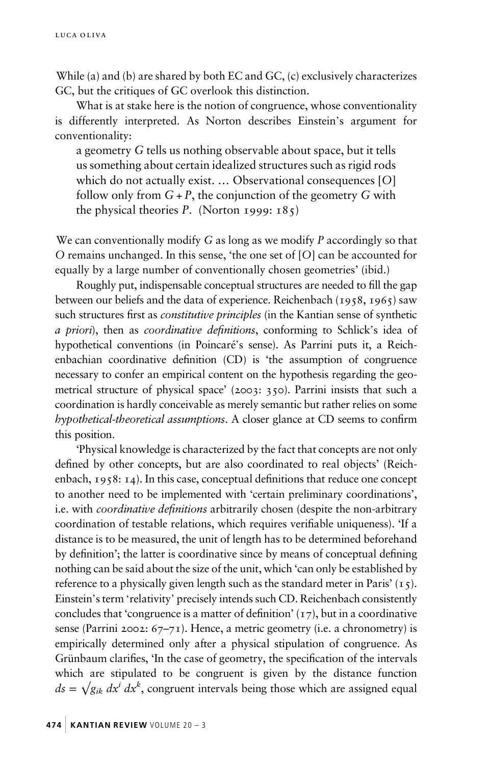While (a) and (b) are shared by both EC and GC, (c) exclusively characterizes GC, but the critiques of GC overlook this distinction.

What is at stake here is the notion of congruence, whose conventionality is differently interpreted. As Norton describes Einstein's argument for conventionality:

a geometry G tells us nothing observable about space, but it tells us something about certain idealized structures such as rigid rods which do not actually exist. ... Observational consequences [O] follow only from  $G + P$ , the conjunction of the geometry G with the physical theories P. (Norton 1999:  $185$ )

We can conventionally modify  $G$  as long as we modify  $P$  accordingly so that O remains unchanged. In this sense, 'the one set of [O] can be accounted for equally by a large number of conventionally chosen geometries' (ibid.)

Roughly put, indispensable conceptual structures are needed to fill the gap between our beliefs and the data of experience. Reichenbach (1958, 1965) saw such structures first as *constitutive principles* (in the Kantian sense of synthetic a priori), then as coordinative definitions, conforming to Schlick's idea of hypothetical conventions (in Poincaré's sense). As Parrini puts it, a Reichenbachian coordinative definition (CD) is 'the assumption of congruence necessary to confer an empirical content on the hypothesis regarding the geometrical structure of physical space' (2003: 350). Parrini insists that such a coordination is hardly conceivable as merely semantic but rather relies on some hypothetical-theoretical assumptions. A closer glance at CD seems to confirm this position.

'Physical knowledge is characterized by the fact that concepts are not only defined by other concepts, but are also coordinated to real objects' (Reichenbach, 1958: 14). In this case, conceptual definitions that reduce one concept to another need to be implemented with 'certain preliminary coordinations', i.e. with *coordinative definitions* arbitrarily chosen (despite the non-arbitrary coordination of testable relations, which requires verifiable uniqueness). 'If a distance is to be measured, the unit of length has to be determined beforehand by definition'; the latter is coordinative since by means of conceptual defining nothing can be said about the size of the unit, which 'can only be established by reference to a physically given length such as the standard meter in Paris'  $(15)$ . Einstein's term ʻrelativity' precisely intends such CD. Reichenbach consistently concludes that 'congruence is a matter of definition'  $(17)$ , but in a coordinative sense (Parrini 2002:  $67-71$ ). Hence, a metric geometry (i.e. a chronometry) is empirically determined only after a physical stipulation of congruence. As Grünbaum clarifies, 'In the case of geometry, the specification of the intervals which are stipulated to be congruent is given by the distance function  $ds = \sqrt{g_{ik} dx^{i}} dx^{k}$ , congruent intervals being those which are assigned equal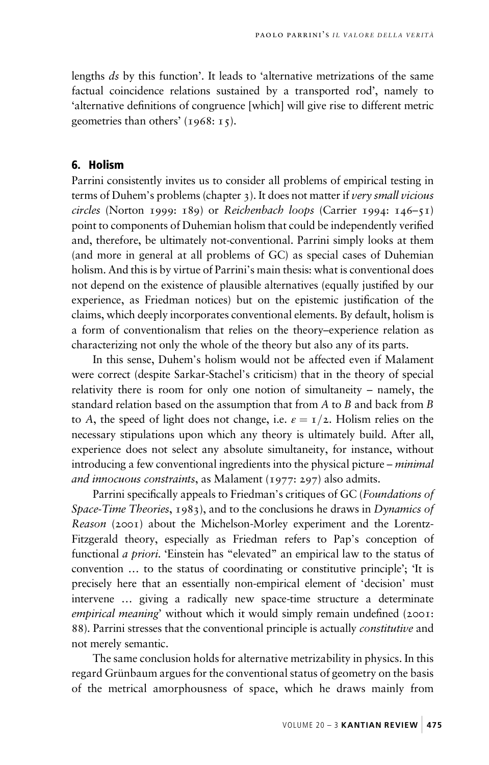lengths ds by this function'. It leads to 'alternative metrizations of the same factual coincidence relations sustained by a transported rod', namely to 'alternative definitions of congruence [which] will give rise to different metric geometries than others' (1968: 15).

#### 6. Holism

Parrini consistently invites us to consider all problems of empirical testing in terms of Duhem's problems (chapter 3). It does not matter if very small vicious circles (Norton 1999: 189) or Reichenbach loops (Carrier 1994: 146–51) point to components of Duhemian holism that could be independently verified and, therefore, be ultimately not-conventional. Parrini simply looks at them (and more in general at all problems of GC) as special cases of Duhemian holism. And this is by virtue of Parrini's main thesis: what is conventional does not depend on the existence of plausible alternatives (equally justified by our experience, as Friedman notices) but on the epistemic justification of the claims, which deeply incorporates conventional elements. By default, holism is a form of conventionalism that relies on the theory–experience relation as characterizing not only the whole of the theory but also any of its parts.

In this sense, Duhem's holism would not be affected even if Malament were correct (despite Sarkar-Stachel's criticism) that in the theory of special relativity there is room for only one notion of simultaneity – namely, the standard relation based on the assumption that from A to B and back from B to A, the speed of light does not change, i.e.  $\varepsilon = \frac{1}{2}$ . Holism relies on the necessary stipulations upon which any theory is ultimately build. After all, experience does not select any absolute simultaneity, for instance, without introducing a few conventional ingredients into the physical picture – minimal and innocuous constraints, as Malament (1977: 297) also admits.

Parrini specifically appeals to Friedman's critiques of GC (Foundations of Space-Time Theories, 1983), and to the conclusions he draws in Dynamics of Reason (2001) about the Michelson-Morley experiment and the Lorentz-Fitzgerald theory, especially as Friedman refers to Pap's conception of functional *a priori*. 'Einstein has "elevated" an empirical law to the status of convention … to the status of coordinating or constitutive principle'; 'It is precisely here that an essentially non-empirical element of ʻdecision' must intervene … giving a radically new space-time structure a determinate empirical meaning' without which it would simply remain undefined (2001: 88). Parrini stresses that the conventional principle is actually constitutive and not merely semantic.

The same conclusion holds for alternative metrizability in physics. In this regard Grünbaum argues for the conventional status of geometry on the basis of the metrical amorphousness of space, which he draws mainly from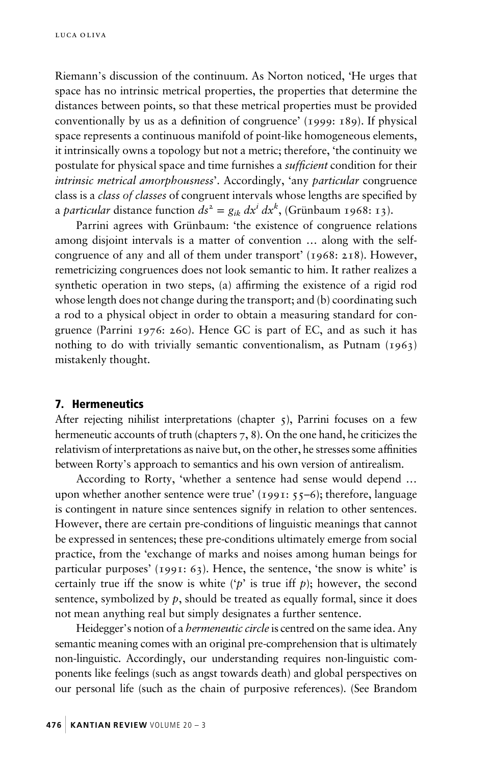Riemann's discussion of the continuum. As Norton noticed, 'He urges that space has no intrinsic metrical properties, the properties that determine the distances between points, so that these metrical properties must be provided conventionally by us as a definition of congruence' (1999: 189). If physical space represents a continuous manifold of point-like homogeneous elements, it intrinsically owns a topology but not a metric; therefore, 'the continuity we postulate for physical space and time furnishes a *sufficient* condition for their intrinsic metrical amorphousness'. Accordingly, 'any particular congruence class is a class of classes of congruent intervals whose lengths are specified by a *particular* distance function  $ds^2 = g_{ik} dx^i dx^k$ , (Grünbaum 1968: 13).

Parrini agrees with Grünbaum: 'the existence of congruence relations among disjoint intervals is a matter of convention … along with the selfcongruence of any and all of them under transport' (1968: 218). However, remetricizing congruences does not look semantic to him. It rather realizes a synthetic operation in two steps, (a) affirming the existence of a rigid rod whose length does not change during the transport; and (b) coordinating such a rod to a physical object in order to obtain a measuring standard for congruence (Parrini 1976: 260). Hence GC is part of EC, and as such it has nothing to do with trivially semantic conventionalism, as Putnam (1963) mistakenly thought.

#### 7. Hermeneutics

After rejecting nihilist interpretations (chapter 5), Parrini focuses on a few hermeneutic accounts of truth (chapters 7, 8). On the one hand, he criticizes the relativism of interpretations as naive but, on the other, he stresses some affinities between Rorty's approach to semantics and his own version of antirealism.

According to Rorty, 'whether a sentence had sense would depend … upon whether another sentence were true' (1991: 55–6); therefore, language is contingent in nature since sentences signify in relation to other sentences. However, there are certain pre-conditions of linguistic meanings that cannot be expressed in sentences; these pre-conditions ultimately emerge from social practice, from the 'exchange of marks and noises among human beings for particular purposes' (1991: 63). Hence, the sentence, 'the snow is white' is certainly true iff the snow is white  $(p^2)$  is true iff p); however, the second sentence, symbolized by  $p$ , should be treated as equally formal, since it does not mean anything real but simply designates a further sentence.

Heidegger's notion of a *hermeneutic circle* is centred on the same idea. Any semantic meaning comes with an original pre-comprehension that is ultimately non-linguistic. Accordingly, our understanding requires non-linguistic components like feelings (such as angst towards death) and global perspectives on our personal life (such as the chain of purposive references). (See Brandom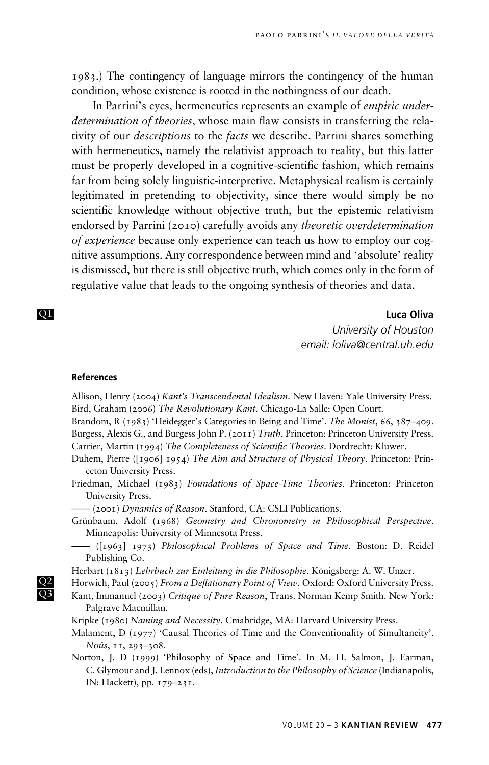1983.) The contingency of language mirrors the contingency of the human condition, whose existence is rooted in the nothingness of our death.

In Parrini's eyes, hermeneutics represents an example of empiric underdetermination of theories, whose main flaw consists in transferring the relativity of our *descriptions* to the *facts* we describe. Parrini shares something with hermeneutics, namely the relativist approach to reality, but this latter must be properly developed in a cognitive-scientific fashion, which remains far from being solely linguistic-interpretive. Metaphysical realism is certainly legitimated in pretending to objectivity, since there would simply be no scientific knowledge without objective truth, but the epistemic relativism endorsed by Parrini (2010) carefully avoids any theoretic overdetermination of experience because only experience can teach us how to employ our cognitive assumptions. Any correspondence between mind and ʻabsolute' reality is dismissed, but there is still objective truth, which comes only in the form of regulative value that leads to the ongoing synthesis of theories and data.

#### $Q1$  Luca Oliva

University of Houston email: [loliva@central.uh.edu](mailto:loliva@central.uh.edu)

#### References

- Allison, Henry (2004) Kant's Transcendental Idealism. New Haven: Yale University Press. Bird, Graham (2006) The Revolutionary Kant. Chicago-La Salle: Open Court.
- Brandom, R (1983) 'Heidegger's Categories in Being and Time'. The Monist, 66, 387-409. Burgess, Alexis G., and Burgess John P. (2011) Truth. Princeton: Princeton University Press. Carrier, Martin (1994) The Completeness of Scientific Theories. Dordrecht: Kluwer.
- Duhem, Pierre ([1906] 1954) The Aim and Structure of Physical Theory. Princeton: Princeton University Press.
- Friedman, Michael (1983) Foundations of Space-Time Theories. Princeton: Princeton University Press.

—— (2001) Dynamics of Reason. Stanford, CA: CSLI Publications.

- Grünbaum, Adolf (1968) Geometry and Chronometry in Philosophical Perspective. Minneapolis: University of Minnesota Press.
- —— ([1963] 1973) Philosophical Problems of Space and Time. Boston: D. Reidel Publishing Co.
- Herbart (1813) Lehrbuch zur Einleitung in die Philosophie. Königsberg: A. W. Unzer.
- Q2 Horwich, Paul (2005) From a Deflationary Point of View. Oxford: Oxford University Press.<br>Q3 Kant Immanuel (2003) Critique of Pure Reason Trans, Norman Kemp Smith, New York:
	- Kant, Immanuel (2003) Critique of Pure Reason, Trans. Norman Kemp Smith. New York: Palgrave Macmillan.
	- Kripke (1980) Naming and Necessity. Cmabridge, MA: Harvard University Press.
	- Malament, D (1977) 'Causal Theories of Time and the Conventionality of Simultaneity'. Noûs, 11, 293–308.
	- Norton, J. D (1999) 'Philosophy of Space and Time'. In M. H. Salmon, J. Earman, C. Glymour and J. Lennox (eds), Introduction to the Philosophy of Science (Indianapolis, IN: Hackett), pp. 179–231.